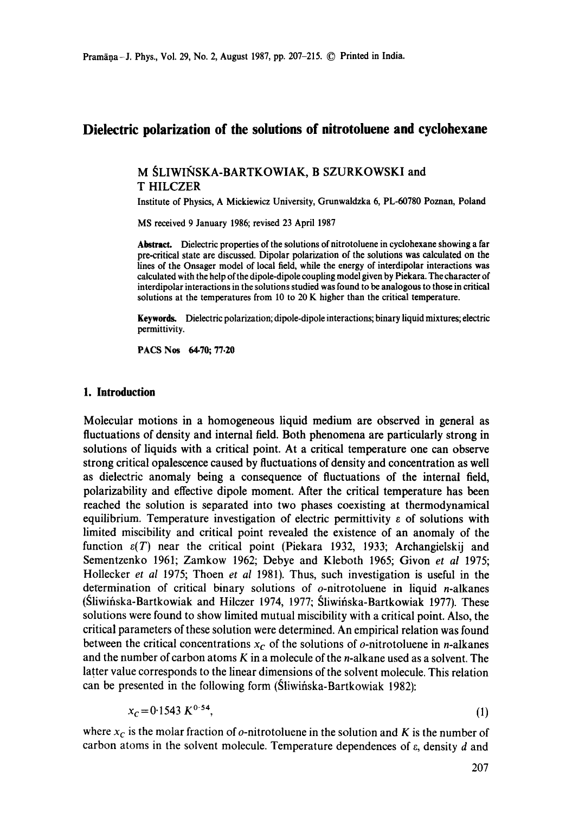# **Dielectric polarization of the solutions of nitrotoluene and cyclohexane**

# M SLIWIŃSKA-BARTKOWIAK, B SZURKOWSKI and T HILCZER

Institute of Physics, A Mickiewicz University, Grunwaldzka 6, PL-60780 Poznan, **Poland** 

MS received 9 January 1986; revised 23 April 1987

Abstract. Dielectric properties of the solutions of nitrotoluene in cyclohexane showing a far pre-critical state are discussed. Dipolar polarization of the solutions was calculated on the lines of the Onsager model of local field, while the energy of interdipolar interactions **was**  calculated with the help of the dipole-dipole coupling model given by Piekara. The character of interdipolar interactions in the solutions **studied was** found to be analogous to those in critical solutions at the temperatures from 10 to 20 K higher than the critical temperature.

Keywords. Dielectric polarization; dipole-dipole interactions; binary liquid mixtures; electric permittivity.

PACS Nos 64.70; 77.20

# **1. Introduction**

Molecular motions in a homogeneous liquid medium are observed in general as fluctuations of density and internal field. Both phenomena are particularly strong in solutions of liquids with a critical point. At a critical temperature one can observe strong critical opalescence caused by fluctuations of density and concentration as well as dielectric anomaly being a consequence of fluctuations of the internal field, polarizability and effective dipole moment. After the critical temperature has been reached the solution is separated into two phases coexisting at thermodynamical equilibrium. Temperature investigation of electric permittivity  $\varepsilon$  of solutions with limited miscibility and critical point revealed the existence of an anomaly of the function  $\varepsilon(T)$  near the critical point (Piekara 1932, 1933; Archangielskij and Sementzenko 1961; Zamkow 1962; Debye and Kleboth 1965; Givon *et al* 1975; Hollecker *et al* 1975; Thoen *et al* 1981). Thus, such investigation is useful in the determination of critical binary solutions of  $o$ -nitrotoluene in liquid *n*-alkanes (Sliwińska-Bartkowiak and Hilczer 1974, 1977; Sliwińska-Bartkowiak 1977). These solutions were found to show limited mutual miscibility with a critical point. Also, the critical parameters of these solution were determined. An empirical relation was found between the critical concentrations  $x_c$  of the solutions of *o*-nitrotoluene in *n*-alkanes and the number of carbon atoms  $K$  in a molecule of the *n*-alkane used as a solvent. The latter value corresponds to the linear dimensions of the solvent molecule. This relation can be presented in the following form (Sliwifiska-Bartkowiak 1982):

$$
x_c = 0.1543 \, K^{0.54},\tag{1}
$$

where  $x_c$  is the molar fraction of  $o$ -nitrotoluene in the solution and K is the number of carbon atoms in the solvent molecule. Temperature dependences of  $\varepsilon$ , density  $d$  and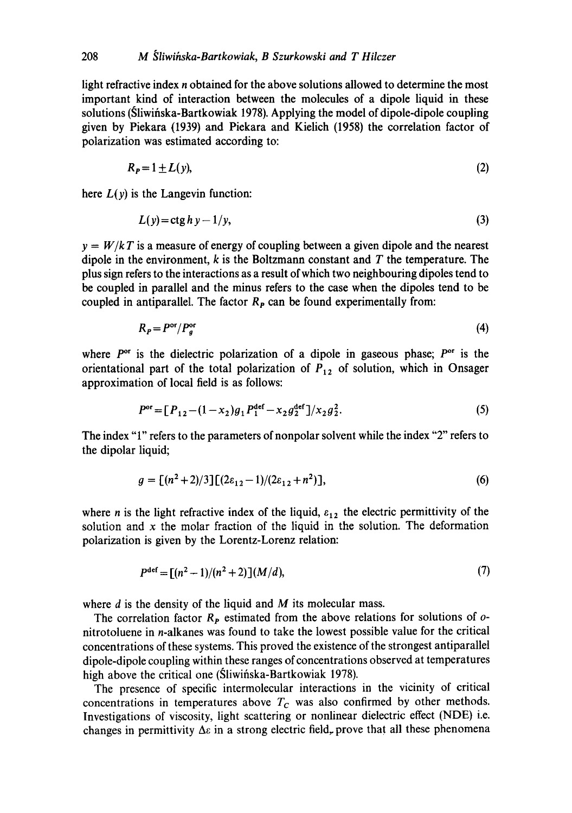light refractive index n obtained for the above solutions allowed to determine the most important kind of interaction between the molecules of a dipole liquid in these solutions (Sliwifiska-Bartkowiak 1978). Applying the model of dipole-dipole coupling given by Piekara (1939) and Piekara and Kielich (1958) the correlation factor of polarization was estimated according to:

$$
R_P = 1 \pm L(y),\tag{2}
$$

here  $L(y)$  is the Langevin function:

$$
L(y) = \operatorname{ctg} h y - 1/y,\tag{3}
$$

 $y = W/kT$  is a measure of energy of coupling between a given dipole and the nearest dipole in the environment,  $k$  is the Boltzmann constant and  $T$  the temperature. The plus sign refers to the interactions as a result of which two neighbouring dipoles tend to be coupled in parallel and the minus refers to the case when the dipoles tend to be coupled in antiparallel. The factor  $R_p$  can be found experimentally from:

$$
R_P = P^{\rm or}/P_g^{\rm or} \tag{4}
$$

where  $P^{\text{or}}$  is the dielectric polarization of a dipole in gaseous phase;  $P^{\text{or}}$  is the orientational part of the total polarization of  $P_{12}$  of solution, which in Onsager approximation of local field is as follows:

$$
Por = [P12 - (1 - x2)g1P1def - x2g2def]/x2g22.
$$
 (5)

The index "1" refers to the parameters of nonpolar solvent while the index "2" refers to the dipolar liquid;

$$
g = [(n2+2)/3][(2\varepsilon12-1)/(2\varepsilon12+n2)],
$$
\n(6)

where *n* is the light refractive index of the liquid,  $\varepsilon_{12}$  the electric permittivity of the solution and  $x$  the molar fraction of the liquid in the solution. The deformation polarization is given by the Lorentz-Lorenz relation:

$$
P^{\text{def}} = \left[ (n^2 - 1)/(n^2 + 2) \right] (M/d), \tag{7}
$$

where  $d$  is the density of the liquid and  $M$  its molecular mass.

The correlation factor  $R_p$  estimated from the above relations for solutions of  $o$ nitrotoluene in n-alkanes was found to take the lowest possible value for the critical concentrations of these systems. This proved the existence of the strongest antiparallel dipole-dipole coupling within these ranges of concentrations observed at temperatures high above the critical one (Sliwinska-Bartkowiak 1978).

The presence of specific intermolecular interactions in the vicinity of critical concentrations in temperatures above  $T_c$  was also confirmed by other methods. Investigations of viscosity, light scattering or nonlinear dielectric effect (NDE) i.e. changes in permittivity  $\Delta \varepsilon$  in a strong electric field, prove that all these phenomena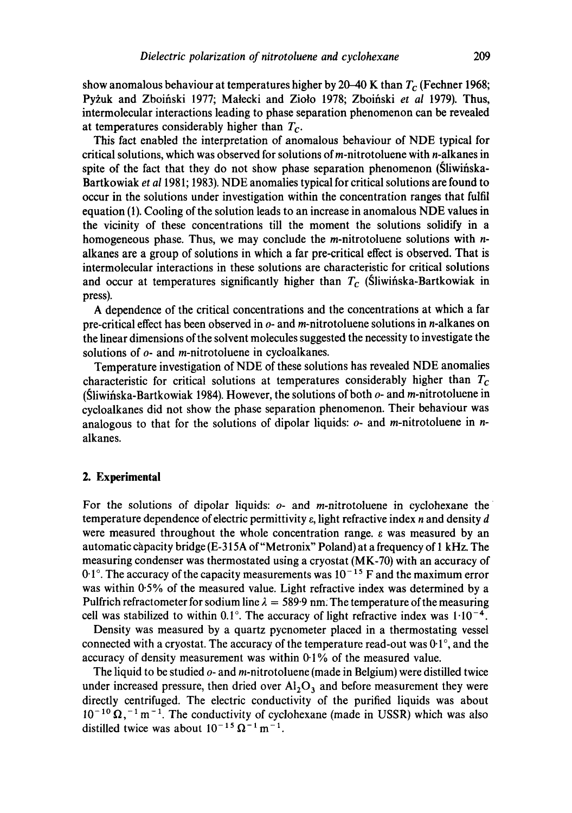show anomalous behaviour at temperatures higher by 20–40 K than  $T_c$  (Fechner 1968; Pyżuk and Zboiński 1977; Małecki and Zioło 1978; Zboiński et al 1979). Thus, intermolecular interactions leading to phase separation phenomenon can be revealed at temperatures considerably higher than *Tc.* 

This fact enabled the interpretation of anomalous behaviour of NDE typical for critical solutions, which was observed for solutions of m-nitrotoluene with n-alkanes in spite of the fact that they do not show phase separation phenomenon (Sliwingska-Bartkowiak *et a11981;* 1983). NDE anomalies typical for critical solutions are found to occur in the solutions under investigation within the concentration ranges that fulfil equation (1). Cooling of the solution leads to an increase in anomalous NDE values in the vicinity of these concentrations till the moment the solutions solidify in a homogeneous phase. Thus, we may conclude the *m*-nitrotoluene solutions with *n*alkanes are a group of solutions in which a far pre-critical effect is observed. That is intermolecular interactions in these solutions are characteristic for critical solutions and occur at temperatures significantly higher than  $T_c$  (Sliwinska-Bartkowiak in press).

A dependence of the critical concentrations and the concentrations at which a far pre-critical effect has been observed in  $o$ - and m-nitrotoluene solutions in n-alkanes on the linear dimensions of the solvent molecules suggested the necessity to investigate the solutions of  $o$ - and *m*-nitrotoluene in cycloalkanes.

Temperature investigation of NDE of these solutions has revealed NDE anomalies characteristic for critical solutions at temperatures considerably higher than *Tc*  (Sliwińska-Bartkowiak 1984). However, the solutions of both  $o$ - and m-nitrotoluene in cycloalkanes did not show the phase separation phenomenon. Their behaviour was analogous to that for the solutions of dipolar liquids:  $o$ - and *m*-nitrotoluene in *n*alkanes.

## **2. Experimental**

For the solutions of dipolar liquids:  $o$ - and *m*-nitrotoluene in cyclohexane the temperature dependence of electric permittivity  $\varepsilon$ , light refractive index n and density d were measured throughout the whole concentration range,  $\varepsilon$  was measured by an automatic càpacity bridge (E-315A of "Metronix" Poland) at a frequency of 1 kHz. The measuring condenser was thermostated using a cryostat (MK-70) with an accuracy of  $0.1^\circ$ . The accuracy of the capacity measurements was  $10^{-15}$  F and the maximum error was within 0.5% of the measured value. Light refractive index was determined by a Pulfrich refractometer for sodium line  $\lambda = 589.9$  nm. The temperature of the measuring cell was stabilized to within  $0.1^{\circ}$ . The accuracy of light refractive index was  $1 \cdot 10^{-4}$ .

Density was measured by a quartz pycnometer placed in a thermostating vessel connected with a cryostat. The accuracy of the temperature read-out was 0.1 °, and the accuracy of density measurement was within 0.1% of the measured value.

The liquid to be studied  $o$ - and m-nitrotoluene (made in Belgium) were distilled twice under increased pressure, then dried over  $Al_2O_3$  and before measurement they were directly centrifuged. The electric conductivity of the purified liquids was about  $10^{-10} \Omega$ ,  $^{-1}$  m  $^{-1}$ . The conductivity of cyclohexane (made in USSR) which was also distilled twice was about  $10^{-15} \Omega^{-1}$  m<sup>-1</sup>.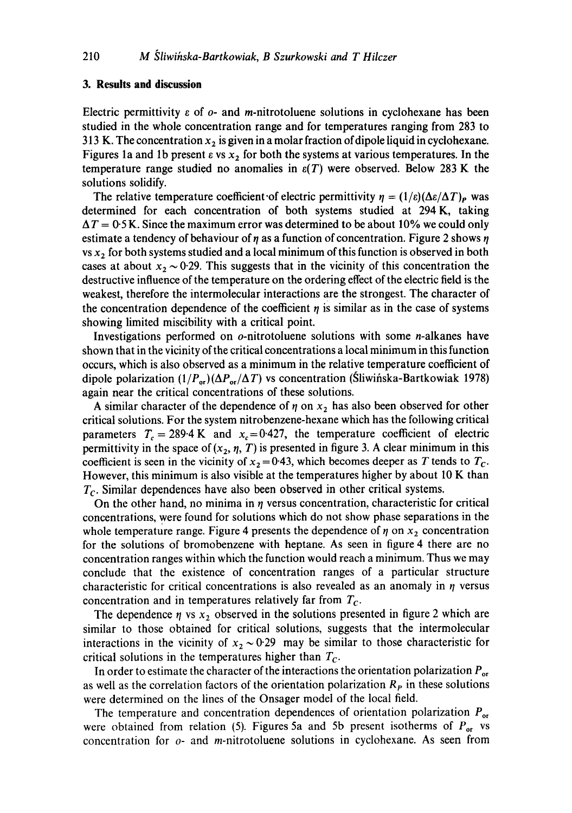### **3. Results and discussion**

Electric permittivity  $\varepsilon$  of  $o$ - and m-nitrotoluene solutions in cyclohexane has been studied in the whole concentration range and for temperatures ranging from 283 to 313 K. The concentration  $x_2$  is given in a molar fraction of dipole liquid in cyclohexane. Figures 1a and 1b present  $\varepsilon$  vs  $x_2$  for both the systems at various temperatures. In the temperature range studied no anomalies in  $\varepsilon(T)$  were observed. Below 283 K the solutions solidify.

The relative temperature coefficient of electric permittivity  $\eta = (1/\varepsilon)(\Delta \varepsilon/\Delta T)_{P}$  was determined for each concentration of both systems studied at 294 K, taking  $\Delta T = 0.5$  K. Since the maximum error was determined to be about 10% we could only estimate a tendency of behaviour of  $\eta$  as a function of concentration. Figure 2 shows  $\eta$ vs  $x_2$  for both systems studied and a local minimum of this function is observed in both cases at about  $x_2 \sim 0.29$ . This suggests that in the vicinity of this concentration the destructive influence of the temperature on the ordering effect of the electric field is the weakest, therefore the intermolecular interactions are the strongest. The character of the concentration dependence of the coefficient  $\eta$  is similar as in the case of systems showing limited miscibility with a critical point.

Investigations performed on  $o$ -nitrotoluene solutions with some *n*-alkanes have shown that in the vicinity of the critical concentrations a local minimum in this function occurs, which is also observed as a minimum in the relative temperature coefficient of dipole polarization  $(1/P_{\text{or}})(\Delta P_{\text{or}}/\Delta T)$  vs concentration (Sliwińska-Bartkowiak 1978) again near the critical concentrations of these solutions.

A similar character of the dependence of  $\eta$  on  $x_2$  has also been observed for other critical solutions. For the system nitrobenzene-hexane which has the following critical parameters  $T_c = 289.4 \text{ K}$  and  $x_c = 0.427$ , the temperature coefficient of electric permittivity in the space of  $(x_2, \eta, T)$  is presented in figure 3. A clear minimum in this coefficient is seen in the vicinity of  $x_2 = 0.43$ , which becomes deeper as T tends to  $T_c$ . However, this minimum is also visible at the temperatures higher by about 10 K than  $T_c$ . Similar dependences have also been observed in other critical systems.

On the other hand, no minima in  $\eta$  versus concentration, characteristic for critical concentrations, were found for solutions which do not show phase separations in the whole temperature range. Figure 4 presents the dependence of  $\eta$  on  $x_2$  concentration for the solutions of bromobenzene with heptane. As seen in figure 4 there are no concentration ranges within which the function would reach a minimum. Thus we may conclude that the existence of concentration ranges of a particular structure characteristic for critical concentrations is also revealed as an anomaly in  $\eta$  versus concentration and in temperatures relatively far from *Tc.* 

The dependence  $\eta$  vs  $x_2$  observed in the solutions presented in figure 2 which are similar to those obtained for critical solutions, suggests that the intermolecular interactions in the vicinity of  $x_2 \sim 0.29$  may be similar to those characteristic for critical solutions in the temperatures higher than *Tc.* 

In order to estimate the character of the interactions the orientation polarization  $P_{\text{or}}$ as well as the correlation factors of the orientation polarization  $R_p$  in these solutions were determined on the lines of the Onsager model of the local field.

The temperature and concentration dependences of orientation polarization  $P_{\text{or}}$ were obtained from relation (5). Figures 5a and 5b present isotherms of  $P_{\text{or}}$  vs concentration for  $o$ - and *m*-nitrotoluene solutions in cyclohexane. As seen from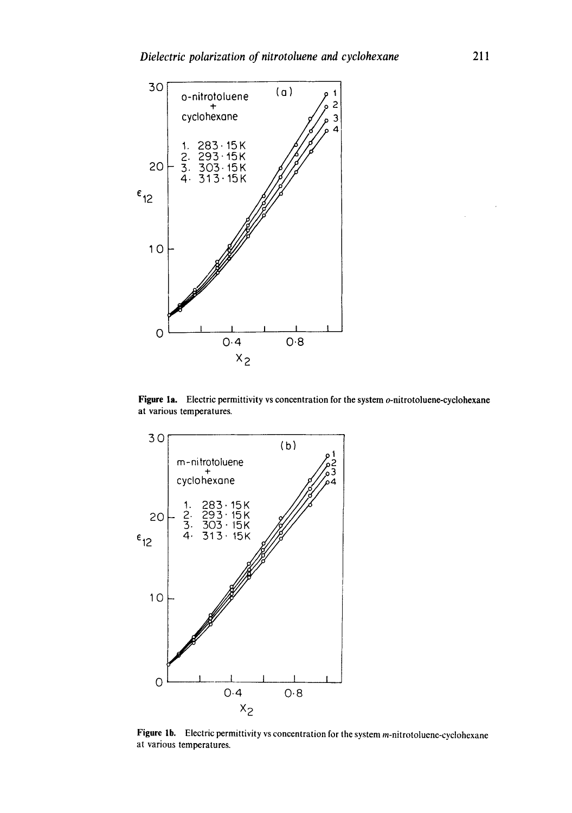

Figure 1a. Electric permittivity vs concentration for the system o-nitrotoluene-cyclohexane at various temperatures.



Figure 1b. Electric permittivity vs concentration for the system m-nitrotoluene-cyclohexane at various temperatures.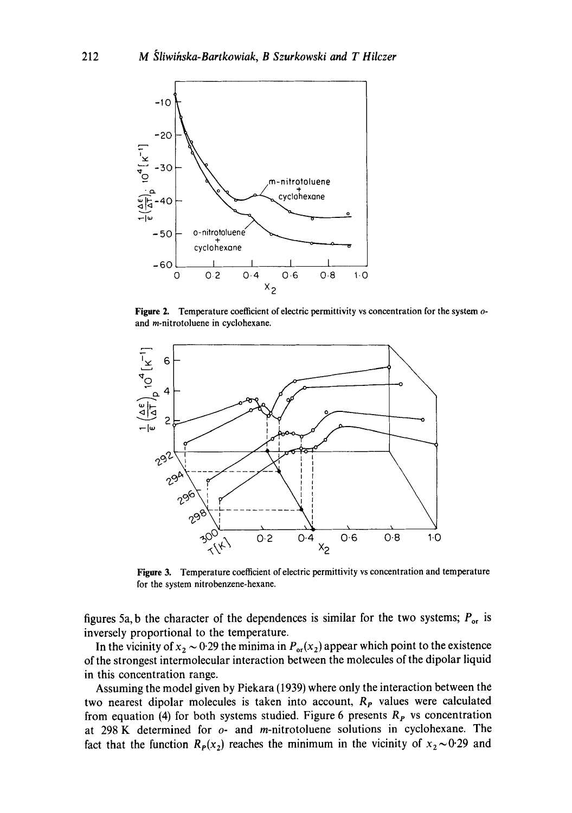

**Figure 2. Temperature coefficient of electric permittivity vs concentration for the system** oand **m-nitrotoluene in cyclohexane.** 



Figure 3. Temperature coefficient of electric permittivity vs concentration and temperature **for the system nitrobenzene-hexane.** 

figures 5a, b the character of the dependences is similar for the two systems;  $P_{\text{or}}$  is **inversely proportional to the temperature.** 

In the vicinity of  $x_2 \sim 0.29$  the minima in  $P_{\text{or}}(x_2)$  appear which point to the existence **of the strongest intermolecular interaction between the molecules of the dipolar liquid in this concentration range.** 

**Assuming the model given by Piekara (1939) where only the interaction between the**  two nearest dipolar molecules is taken into account, R<sub>p</sub> values were calculated from equation (4) for both systems studied. Figure 6 presents  $R<sub>P</sub>$  vs concentration **at 298 K determined for o- and m-nitrotoluene solutions in cyclohexane. The**  fact that the function  $R_P(x_2)$  reaches the minimum in the vicinity of  $x_2 \sim 0.29$  and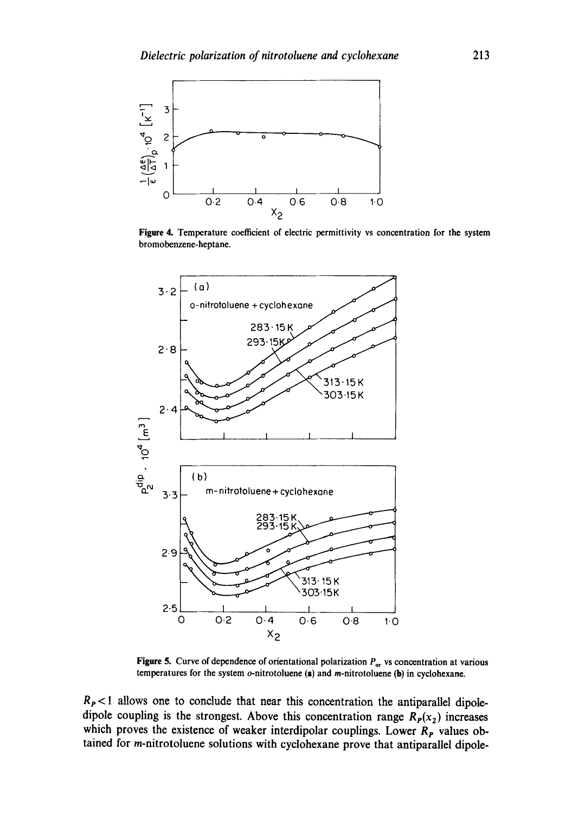

Figure 4. Temperature coefficient of electric permittivity vs concentration for the system bromobenzene-heptane.



**Figure 5.** Curve of dependence of orientational polarization  $P_{or}$  vs concentration at various temperatures for the system  $o$ -nitrotoluene (a) and *m*-nitrotoluene (b) in cyclohexane.

 $R_P$ <1 allows one to conclude that near this concentration the antiparallel dipoledipole coupling is the strongest. Above this concentration range  $R<sub>p</sub>(x<sub>2</sub>)$  increases which proves the existence of weaker interdipolar couplings. Lower  $R<sub>P</sub>$  values obtained for m-nitrotoluene solutions with cyclohexane prove that antiparallel dipole-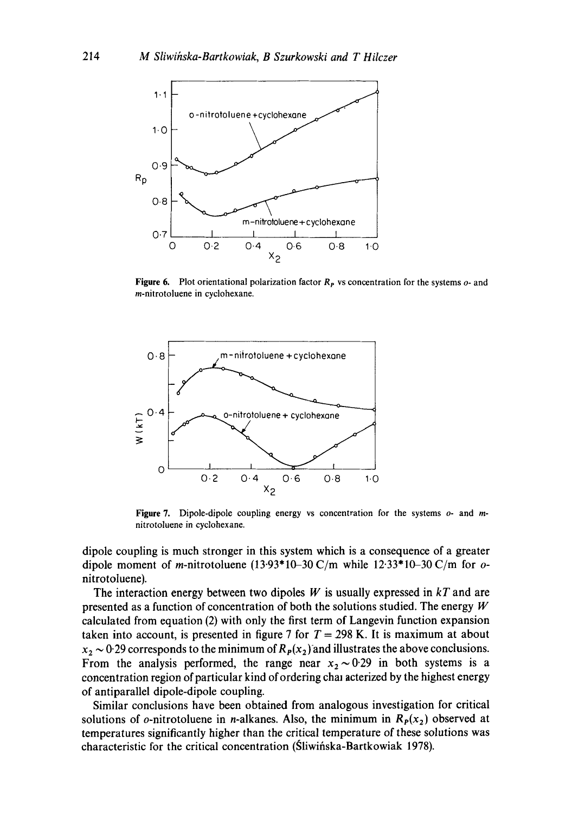

**Figure 6.** Plot orientational polarization factor  $R<sub>P</sub>$  vs concentration for the systems o- and m-nitrotoluene in cyclohexane.



**Figure 7.** Dipole-dipole coupling energy vs concentration for the systems  $o$ - and mnitrotoluene in cyclohexane.

dipole coupling is much stronger in this system which is a consequence of a greater dipole moment of m-nitrotoluene  $(13.93*10-30 \text{ C/m})$  while  $12.33*10-30 \text{ C/m}$  for onitrotoluene).

The interaction energy between two dipoles  $W$  is usually expressed in  $kT$  and are presented as a function of concentration of both the solutions studied. The energy  $W$ calculated from equation (2) with only the first term of Langevin function expansion taken into account, is presented in figure 7 for  $T = 298$  K. It is maximum at about  $x_2 \sim 0.29$  corresponds to the minimum of  $R_p(x_2)$  and illustrates the above conclusions. From the analysis performed, the range near  $x_2 \sim 0.29$  in both systems is a concentration region of particular kind of ordering chal acterized by the highest energy of antiparallel dipole-dipole coupling.

Similar conclusions have been obtained from analogous investigation for critical solutions of *o*-nitrotoluene in *n*-alkanes. Also, the minimum in  $R<sub>p</sub>(x<sub>2</sub>)$  observed at temperatures significantly higher than the critical temperature of these solutions was characteristic for the critical concentration (Sliwińska-Bartkowiak 1978).